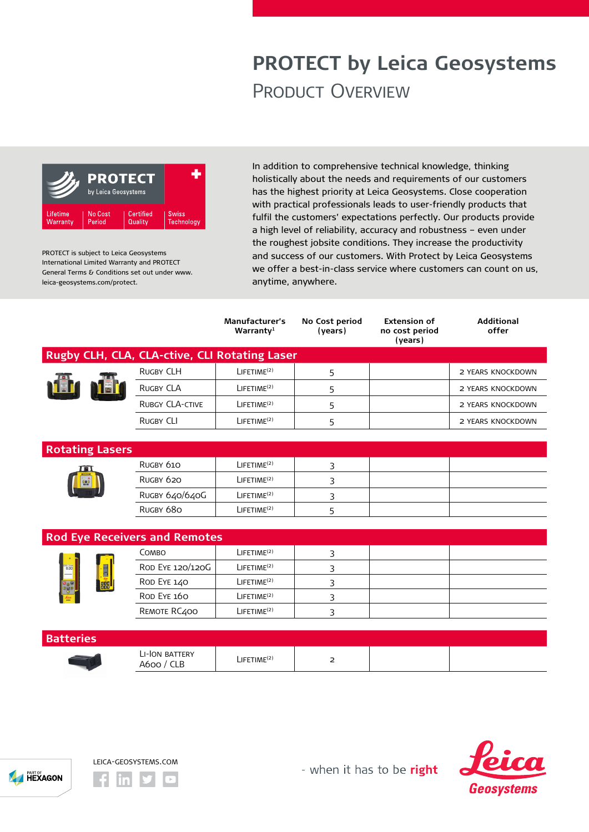## **PROTECT by Leica Geosystems** Product Overview



PROTECT is subject to Leica Geosystems International Limited Warranty and PROTECT General Terms & Conditions set out under www. leica-geosystems.com/protect.

In addition to comprehensive technical knowledge, thinking holistically about the needs and requirements of our customers has the highest priority at Leica Geosystems. Close cooperation with practical professionals leads to user-friendly products that fulfil the customers' expectations perfectly. Our products provide a high level of reliability, accuracy and robustness – even under the roughest jobsite conditions. They increase the productivity and success of our customers. With Protect by Leica Geosystems we offer a best-in-class service where customers can count on us, anytime, anywhere.

|                                               |                              | <b>Manufacturer's</b><br>Warranty <sup>1</sup> | No Cost period<br>(years) | <b>Extension of</b><br>no cost period<br>(years) | <b>Additional</b><br>offer |
|-----------------------------------------------|------------------------------|------------------------------------------------|---------------------------|--------------------------------------------------|----------------------------|
| Rugby CLH, CLA, CLA-ctive, CLI Rotating Laser |                              |                                                |                           |                                                  |                            |
|                                               | <b>RUGBY CLH</b>             | LIFETIME <sup>(2)</sup>                        | 5                         |                                                  | 2 YEARS KNOCKDOWN          |
|                                               | <b>RUGBY CLA</b>             | $L$ IFETIME <sup>(2)</sup>                     | 5                         |                                                  | 2 YEARS KNOCKDOWN          |
|                                               | <b>RUBGY CLA-CTIVE</b>       | $L$ IFETIME <sup>(2)</sup>                     | 5                         |                                                  | 2 YEARS KNOCKDOWN          |
|                                               | <b>RUGBY CLI</b>             | $L$ IFETIME <sup>(2)</sup>                     | 5                         |                                                  | 2 YEARS KNOCKDOWN          |
|                                               |                              |                                                |                           |                                                  |                            |
| <b>Rotating Lasers</b>                        |                              |                                                |                           |                                                  |                            |
|                                               | RUGBY 610                    | LIFETIME <sup>(2)</sup>                        | 3                         |                                                  |                            |
|                                               | RUGBY 620                    | $L$ IFETIME <sup>(2)</sup>                     | 3                         |                                                  |                            |
|                                               | RUGBY 640/640G               | $L$ IFETIME <sup>(2)</sup>                     | 3                         |                                                  |                            |
|                                               | RUGBY 680                    | LIFETIME <sup>(2)</sup>                        | 5                         |                                                  |                            |
|                                               |                              |                                                |                           |                                                  |                            |
| <b>Rod Eye Receivers and Remotes</b>          |                              |                                                |                           |                                                  |                            |
| $\boxed{0.00}$<br>age<br><b>BER</b>           | COMBO                        | $L$ IFETIME <sup>(2)</sup>                     | 3                         |                                                  |                            |
|                                               | ROD EYE 120/120G             | LIFETIME <sup>(2)</sup>                        | 3                         |                                                  |                            |
|                                               | ROD EYE 140                  | LIFETIME <sup>(2)</sup>                        | 3                         |                                                  |                            |
|                                               | ROD EYE 160                  | LIFETIME <sup>(2)</sup>                        | 3                         |                                                  |                            |
|                                               | REMOTE RC400                 | $L$ IFETIME <sup>(2)</sup>                     | 3                         |                                                  |                            |
|                                               |                              |                                                |                           |                                                  |                            |
| <b>Batteries</b>                              |                              |                                                |                           |                                                  |                            |
|                                               | LI-ION BATTERY<br>A600 / CLB | LIFETIME <sup>(2)</sup>                        | 2                         |                                                  |                            |





- when it has to be right